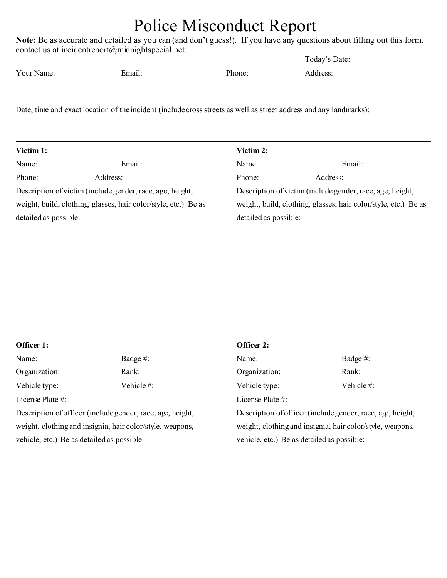## Police Misconduct Report

**Note:** Be as accurate and detailed as you can (and don't guess!). If you have any questions about filling out this form, contact us at incidentreport@midnightspecial.net.

|                                                                           |                                                                                                                    |                                                           | Today's Date:                                                   |  |
|---------------------------------------------------------------------------|--------------------------------------------------------------------------------------------------------------------|-----------------------------------------------------------|-----------------------------------------------------------------|--|
| Your Name:                                                                | Email:                                                                                                             | Phone:                                                    | Address:                                                        |  |
|                                                                           | Date, time and exact location of the incident (include cross streets as well as street address and any landmarks): |                                                           |                                                                 |  |
| Victim 1:                                                                 |                                                                                                                    | Victim 2:                                                 |                                                                 |  |
| Name:                                                                     | Email:                                                                                                             | Name:                                                     | Email:                                                          |  |
| Phone:                                                                    | Address:                                                                                                           | Phone:                                                    | Address:                                                        |  |
| Description of victim (include gender, race, age, height,                 |                                                                                                                    | Description of victim (include gender, race, age, height, |                                                                 |  |
| weight, build, clothing, glasses, hair color/style, etc.) Be as           |                                                                                                                    |                                                           | weight, build, clothing, glasses, hair color/style, etc.) Be as |  |
| detailed as possible:                                                     |                                                                                                                    | detailed as possible:                                     |                                                                 |  |
|                                                                           |                                                                                                                    |                                                           |                                                                 |  |
|                                                                           |                                                                                                                    |                                                           |                                                                 |  |
|                                                                           |                                                                                                                    | Officer 2:                                                |                                                                 |  |
|                                                                           | Badge#:                                                                                                            | Name:                                                     | Badge #:                                                        |  |
|                                                                           | Rank:                                                                                                              | Organization:                                             | Rank:                                                           |  |
|                                                                           | Vehicle#:                                                                                                          | Vehicle type:                                             | Vehicle#:                                                       |  |
| Officer 1:<br>Name:<br>Organization:<br>Vehicle type:<br>License Plate #: |                                                                                                                    | License Plate #:                                          |                                                                 |  |
|                                                                           | Description of officer (include gender, race, age, height,                                                         |                                                           | Description of officer (include gender, race, age, height,      |  |
|                                                                           | weight, clothing and insignia, hair color/style, weapons,                                                          |                                                           | weight, clothing and insignia, hair color/style, weapons,       |  |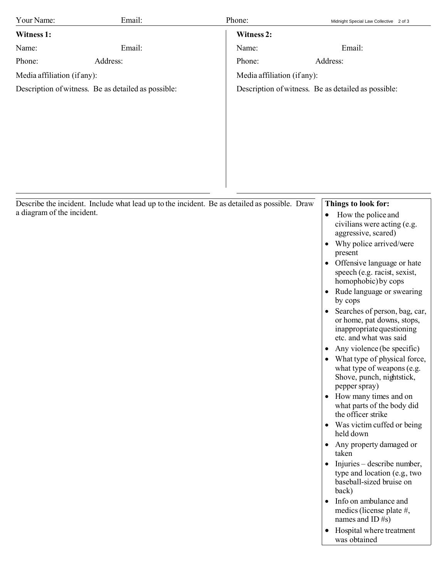| Your Name:                  | Email:                                                                                        | Phone:                      | Midnight Special Law Collective 2 of 3                                                                                                                                                                                                                                                                                                                                                                                                                                                                                                                                                                                                                                                                                                                                                                                                                                                                                                                                                                                                                                                     |
|-----------------------------|-----------------------------------------------------------------------------------------------|-----------------------------|--------------------------------------------------------------------------------------------------------------------------------------------------------------------------------------------------------------------------------------------------------------------------------------------------------------------------------------------------------------------------------------------------------------------------------------------------------------------------------------------------------------------------------------------------------------------------------------------------------------------------------------------------------------------------------------------------------------------------------------------------------------------------------------------------------------------------------------------------------------------------------------------------------------------------------------------------------------------------------------------------------------------------------------------------------------------------------------------|
| Witness 1:                  |                                                                                               | Witness 2:                  |                                                                                                                                                                                                                                                                                                                                                                                                                                                                                                                                                                                                                                                                                                                                                                                                                                                                                                                                                                                                                                                                                            |
| Name:                       | Email:                                                                                        | Name:                       | Email:                                                                                                                                                                                                                                                                                                                                                                                                                                                                                                                                                                                                                                                                                                                                                                                                                                                                                                                                                                                                                                                                                     |
| Phone:                      | Address:                                                                                      | Phone:                      | Address:                                                                                                                                                                                                                                                                                                                                                                                                                                                                                                                                                                                                                                                                                                                                                                                                                                                                                                                                                                                                                                                                                   |
| Media affiliation (if any): |                                                                                               | Media affiliation (if any): |                                                                                                                                                                                                                                                                                                                                                                                                                                                                                                                                                                                                                                                                                                                                                                                                                                                                                                                                                                                                                                                                                            |
|                             | Description of witness. Be as detailed as possible:                                           |                             | Description of witness. Be as detailed as possible:                                                                                                                                                                                                                                                                                                                                                                                                                                                                                                                                                                                                                                                                                                                                                                                                                                                                                                                                                                                                                                        |
| a diagram of the incident.  | Describe the incident. Include what lead up to the incident. Be as detailed as possible. Draw |                             | Things to look for:<br>How the police and<br>$\bullet$<br>civilians were acting (e.g.<br>aggressive, scared)<br>Why police arrived/were<br>٠<br>present<br>Offensive language or hate<br>$\bullet$<br>speech (e.g. racist, sexist,<br>homophobic) by cops<br>Rude language or swearing<br>$\bullet$<br>by cops<br>Searches of person, bag, car,<br>$\bullet$<br>or home, pat downs, stops,<br>inappropriate questioning<br>etc. and what was said<br>Any violence (be specific)<br>$\bullet$<br>What type of physical force,<br>$\bullet$<br>what type of weapons (e.g.<br>Shove, punch, nightstick,<br>pepper spray)<br>How many times and on<br>$\bullet$<br>what parts of the body did<br>the officer strike<br>Was victim cuffed or being<br>$\bullet$<br>held down<br>Any property damaged or<br>$\bullet$<br>taken<br>Injuries – describe number,<br>$\bullet$<br>type and location (e.g., two<br>baseball-sized bruise on<br>back)<br>Info on ambulance and<br>$\bullet$<br>medics (license plate $#$ ,<br>names and ID#s)<br>Hospital where treatment<br>$\bullet$<br>was obtained |